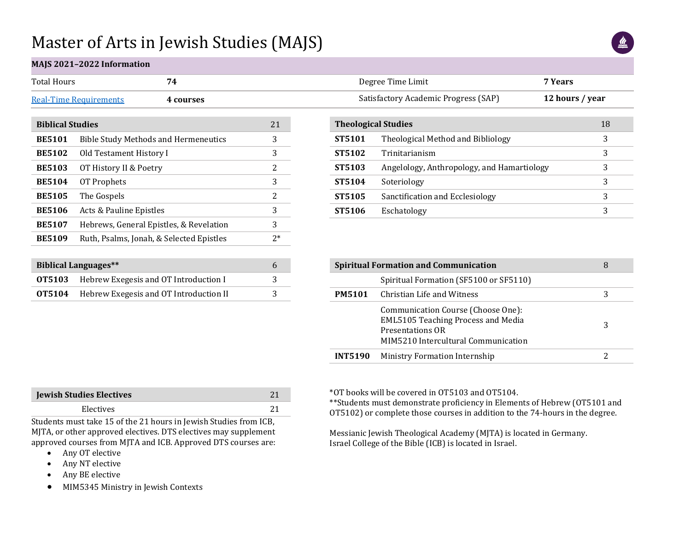## Master of Arts in Jewish Studies (MAJS)



## **MAJS 2021–2022 Information**

| Total Hours                   |          | Degree Time Limit                    | 7 Years         |
|-------------------------------|----------|--------------------------------------|-----------------|
| <b>Real-Time Requirements</b> | -courses | Satisfactory Academic Progress (SAP) | 12 hours / year |
|                               |          |                                      |                 |

| <b>Biblical Studies</b> |                                             |      |  |  |  |  |
|-------------------------|---------------------------------------------|------|--|--|--|--|
| <b>BE5101</b>           | <b>Bible Study Methods and Hermeneutics</b> | 3    |  |  |  |  |
| <b>BE5102</b>           | Old Testament History I                     | 3    |  |  |  |  |
| <b>BE5103</b>           | OT History II & Poetry                      | 2    |  |  |  |  |
| <b>BE5104</b>           | OT Prophets                                 | 3    |  |  |  |  |
| <b>BE5105</b>           | The Gospels                                 | 2    |  |  |  |  |
| <b>BE5106</b>           | Acts & Pauline Epistles                     | 3    |  |  |  |  |
| <b>BE5107</b>           | Hebrews, General Epistles, & Revelation     | 3    |  |  |  |  |
| <b>BE5109</b>           | Ruth, Psalms, Jonah, & Selected Epistles    | $2*$ |  |  |  |  |

| <b>Biblical Languages**</b> |                                                      |  |  |  |  |  |
|-----------------------------|------------------------------------------------------|--|--|--|--|--|
|                             | <b>OT5103</b> Hebrew Exegesis and OT Introduction I  |  |  |  |  |  |
|                             | <b>OT5104</b> Hebrew Exegesis and OT Introduction II |  |  |  |  |  |

| <b>Theological Studies</b> |                                            | 18 |  |
|----------------------------|--------------------------------------------|----|--|
| ST5101                     | Theological Method and Bibliology          | 3  |  |
| ST5102                     | Trinitarianism                             | 3  |  |
| ST5103                     | Angelology, Anthropology, and Hamartiology | 3  |  |
| ST5104                     | Soteriology                                | 3  |  |
| ST5105                     | Sanctification and Ecclesiology            | 3  |  |
| ST5106                     | Eschatology                                | 3  |  |
|                            |                                            |    |  |

|                | <b>Spiritual Formation and Communication</b>                                                                                               | 8 |
|----------------|--------------------------------------------------------------------------------------------------------------------------------------------|---|
|                | Spiritual Formation (SF5100 or SF5110)                                                                                                     |   |
| <b>PM5101</b>  | Christian Life and Witness                                                                                                                 | 3 |
|                | Communication Course (Choose One):<br><b>EML5105 Teaching Process and Media</b><br>Presentations OR<br>MIM5210 Intercultural Communication | 3 |
| <b>INT5190</b> | Ministry Formation Internship                                                                                                              |   |

| <b>Jewish Studies Electives</b> |  |  |
|---------------------------------|--|--|
| Electives                       |  |  |

Students must take 15 of the 21 hours in Jewish Studies from ICB, MJTA, or other approved electives. DTS electives may supplement approved courses from MJTA and ICB. Approved DTS courses are:

- Any OT elective
- Any NT elective
- Any BE elective
- MIM5345 Ministry in Jewish Contexts

\*OT books will be covered in OT5103 and OT5104.

\*\*Students must demonstrate proficiency in Elements of Hebrew (OT5101 and OT5102) or complete those courses in addition to the 74-hours in the degree.

Messianic Jewish Theological Academy (MJTA) is located in Germany. Israel College of the Bible (ICB) is located in Israel.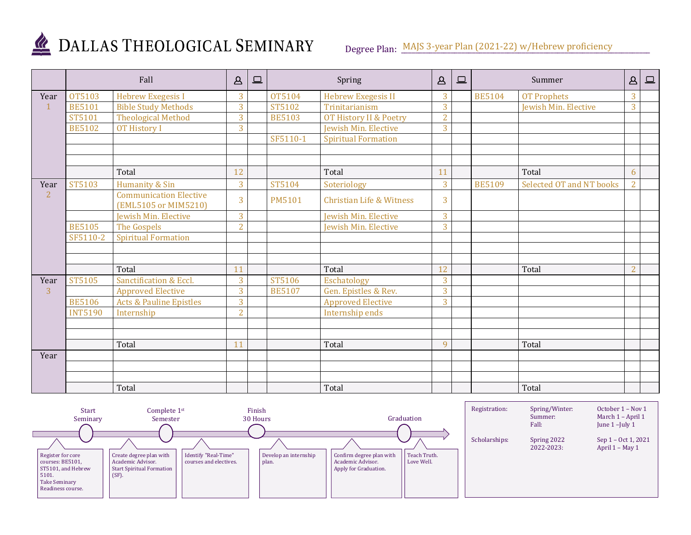

## DALLAS THEOLOGICAL SEMINARY

Degree Plan: MAJS 3-year Plan (2021-22) w/Hebrew proficiency

|                | Fall           |                                                       | $\Delta$       | $\square$ |               | Spring                              | $\mathbf{B}$   | $\boxed{\square}$ |               | Summer                   | $\mathbf{A}$   | $\boxed{\square}$ |
|----------------|----------------|-------------------------------------------------------|----------------|-----------|---------------|-------------------------------------|----------------|-------------------|---------------|--------------------------|----------------|-------------------|
| Year           | OT5103         | <b>Hebrew Exegesis I</b>                              | 3              |           | OT5104        | <b>Hebrew Exegesis II</b>           | 3              |                   | <b>BE5104</b> | <b>OT Prophets</b>       | 3              |                   |
| $\mathbf{1}$   | <b>BE5101</b>  | <b>Bible Study Methods</b>                            | 3              |           | ST5102        | Trinitarianism                      | 3              |                   |               | Jewish Min. Elective     | 3              |                   |
|                | ST5101         | <b>Theological Method</b>                             | 3              |           | <b>BE5103</b> | OT History II & Poetry              | $\overline{2}$ |                   |               |                          |                |                   |
|                | <b>BE5102</b>  | <b>OT History I</b>                                   | 3              |           |               | Jewish Min. Elective                | 3              |                   |               |                          |                |                   |
|                |                |                                                       |                |           | SF5110-1      | <b>Spiritual Formation</b>          |                |                   |               |                          |                |                   |
|                |                |                                                       |                |           |               |                                     |                |                   |               |                          |                |                   |
|                |                |                                                       |                |           |               |                                     |                |                   |               |                          |                |                   |
|                |                | Total                                                 | 12             |           |               | Total                               | 11             |                   |               | Total                    | 6              |                   |
| Year           | ST5103         | Humanity & Sin                                        | 3              |           | ST5104        | Soteriology                         | 3              |                   | <b>BE5109</b> | Selected OT and NT books | $\overline{2}$ |                   |
| $\overline{2}$ |                | <b>Communication Elective</b><br>(EML5105 or MIM5210) | 3              |           | <b>PM5101</b> | <b>Christian Life &amp; Witness</b> | 3              |                   |               |                          |                |                   |
|                |                | Jewish Min. Elective                                  | 3              |           |               | Jewish Min. Elective                | 3              |                   |               |                          |                |                   |
|                | <b>BE5105</b>  | The Gospels                                           | $\overline{2}$ |           |               | Jewish Min. Elective                | 3              |                   |               |                          |                |                   |
|                | SF5110-2       | <b>Spiritual Formation</b>                            |                |           |               |                                     |                |                   |               |                          |                |                   |
|                |                |                                                       |                |           |               |                                     |                |                   |               |                          |                |                   |
|                |                |                                                       |                |           |               |                                     |                |                   |               |                          |                |                   |
|                |                | Total                                                 | 11             |           |               | Total                               | 12             |                   |               | Total                    | $\overline{2}$ |                   |
| Year           | ST5105         | Sanctification & Eccl.                                | 3              |           | ST5106        | Eschatology                         | 3              |                   |               |                          |                |                   |
| $\overline{3}$ |                | <b>Approved Elective</b>                              | 3              |           | <b>BE5107</b> | Gen. Epistles & Rev.                | 3              |                   |               |                          |                |                   |
|                | <b>BE5106</b>  | <b>Acts &amp; Pauline Epistles</b>                    | 3              |           |               | <b>Approved Elective</b>            | 3              |                   |               |                          |                |                   |
|                | <b>INT5190</b> | Internship                                            | $\overline{2}$ |           |               | Internship ends                     |                |                   |               |                          |                |                   |
|                |                |                                                       |                |           |               |                                     |                |                   |               |                          |                |                   |
|                |                |                                                       |                |           |               |                                     |                |                   |               |                          |                |                   |
|                |                | Total                                                 | 11             |           |               | Total                               | $\mathbf{q}$   |                   |               | Total                    |                |                   |
| Year           |                |                                                       |                |           |               |                                     |                |                   |               |                          |                |                   |
|                |                |                                                       |                |           |               |                                     |                |                   |               |                          |                |                   |
|                |                |                                                       |                |           |               |                                     |                |                   |               |                          |                |                   |
|                | Total          |                                                       |                |           |               | Total                               |                |                   |               | Total                    |                |                   |